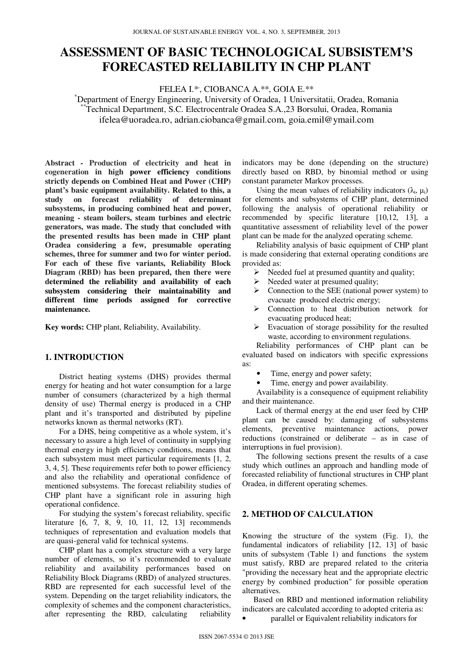# **ASSESSMENT OF BASIC TECHNOLOGICAL SUBSISTEM'S FORECASTED RELIABILITY IN CHP PLANT**

FELEA I.\*, , CIOBANCA A.\*\*, GOIA E.\*\*

\*Department of Energy Engineering, University of Oradea, 1 Universitatii, Oradea, Romania \*\*Technical Department, S.C. Electrocentrale Oradea S.A.,23 Borsului, Oradea, Romania ifelea@uoradea.ro, adrian.ciobanca@gmail.com, goia.emil@ymail.com

**Abstract** *-* **Production of electricity and heat in cogeneration in high power efficiency conditions strictly depends on Combined Heat and Power (CHP) plant's basic equipment availability. Related to this, a study on forecast reliability of determinant subsystems, in producing combined heat and power, meaning - steam boilers, steam turbines and electric generators, was made. The study that concluded with the presented results has been made in CHP plant Oradea considering a few, presumable operating schemes, three for summer and two for winter period. For each of these five variants, Reliability Block Diagram (RBD) has been prepared, then there were determined the reliability and availability of each subsystem considering their maintainability and different time periods assigned for corrective maintenance.** 

**Key words:** CHP plant, Reliability, Availability.

### **1. INTRODUCTION**

District heating systems (DHS) provides thermal energy for heating and hot water consumption for a large number of consumers (characterized by a high thermal density of use) Thermal energy is produced in a CHP plant and it's transported and distributed by pipeline networks known as thermal networks (RT).

For a DHS, being competitive as a whole system, it's necessary to assure a high level of continuity in supplying thermal energy in high efficiency conditions, means that each subsystem must meet particular requirements [1, 2, 3, 4, 5]. These requirements refer both to power efficiency and also the reliability and operational confidence of mentioned subsystems. The forecast reliability studies of CHP plant have a significant role in assuring high operational confidence.

For studying the system's forecast reliability, specific literature [6, 7, 8, 9, 10, 11, 12, 13] recommends techniques of representation and evaluation models that are quasi-general valid for technical systems.

CHP plant has a complex structure with a very large number of elements, so it's recommended to evaluate reliability and availability performances based on Reliability Block Diagrams (RBD) of analyzed structures. RBD are represented for each successful level of the system. Depending on the target reliability indicators, the complexity of schemes and the component characteristics, after representing the RBD, calculating reliability

indicators may be done (depending on the structure) directly based on RBD, by binomial method or using constant parameter Markov processes.

Using the mean values of reliability indicators  $(\lambda_i, \mu_i)$ for elements and subsystems of CHP plant, determined following the analysis of operational reliability or recommended by specific literature [10,12, 13], a quantitative assessment of reliability level of the power plant can be made for the analyzed operating scheme.

Reliability analysis of basic equipment of CHP plant is made considering that external operating conditions are provided as:

- $\triangleright$  Needed fuel at presumed quantity and quality;
- Needed water at presumed quality;<br> $\triangleright$  Connection to the SEE (national position
- Connection to the SEE (national power system) to evacuate produced electric energy;
- > Connection to heat distribution network for evacuating produced heat;
- $\triangleright$  Evacuation of storage possibility for the resulted waste, according to environment regulations.

Reliability performances of CHP plant can be evaluated based on indicators with specific expressions as:

- Time, energy and power safety;
- Time, energy and power availability.

Availability is a consequence of equipment reliability and their maintenance.

Lack of thermal energy at the end user feed by CHP plant can be caused by: damaging of subsystems elements, preventive maintenance actions, power reductions (constrained or deliberate – as in case of interruptions in fuel provision).

The following sections present the results of a case study which outlines an approach and handling mode of forecasted reliability of functional structures in CHP plant Oradea, in different operating schemes.

## **2. METHOD OF CALCULATION**

Knowing the structure of the system (Fig. 1), the fundamental indicators of reliability [12, 13] of basic units of subsystem (Table 1) and functions the system must satisfy, RBD are prepared related to the criteria "providing the necessary heat and the appropriate electric energy by combined production" for possible operation alternatives.

Based on RBD and mentioned information reliability indicators are calculated according to adopted criteria as:

• parallel or Equivalent reliability indicators for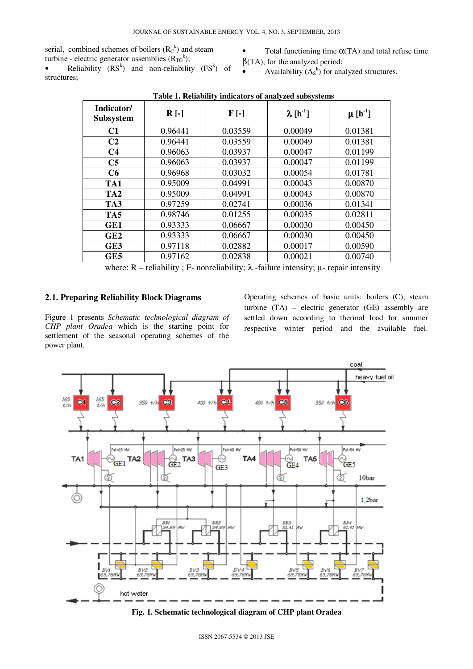serial, combined schemes of boilers  $(R<sub>C</sub><sup>k</sup>)$  and steam turbine - electric generator assemblies  $(R_{TG}^k)$ ;

Total functioning time  $\alpha$ (TA) and total refuse time  $\beta$ (TA), for the analyzed period;

• Reliability  $(RS^k)$  and non-reliability  $(FS^k)$  of structures;

• Availability  $(A_s^k)$  for analyzed structures.

| Indicator/<br><b>Subsystem</b> | $R$ [-] | $F$ [-] | $\lambda[h^{-1}]$ | $\mu$ [h <sup>-1</sup> ] |
|--------------------------------|---------|---------|-------------------|--------------------------|
| C1                             | 0.96441 | 0.03559 | 0.00049           | 0.01381                  |
| C <sub>2</sub>                 | 0.96441 | 0.03559 | 0.00049           | 0.01381                  |
| C <sub>4</sub>                 | 0.96063 | 0.03937 | 0.00047           | 0.01199                  |
| C <sub>5</sub>                 | 0.96063 | 0.03937 | 0.00047           | 0.01199                  |
| C6                             | 0.96968 | 0.03032 | 0.00054           | 0.01781                  |
| TA1                            | 0.95009 | 0.04991 | 0.00043           | 0.00870                  |
| TA <sub>2</sub>                | 0.95009 | 0.04991 | 0.00043           | 0.00870                  |
| TA3                            | 0.97259 | 0.02741 | 0.00036           | 0.01341                  |
| TA5                            | 0.98746 | 0.01255 | 0.00035           | 0.02811                  |
| GE1                            | 0.93333 | 0.06667 | 0.00030           | 0.00450                  |
| GE2                            | 0.93333 | 0.06667 | 0.00030           | 0.00450                  |
| GE3                            | 0.97118 | 0.02882 | 0.00017           | 0.00590                  |
| GE5                            | 0.97162 | 0.02838 | 0.00021           | 0.00740                  |

**Table 1. Reliability indicators of analyzed subsystems** 

where:  $R$  – reliability; F- nonreliability;  $\lambda$  -failure intensity;  $\mu$ - repair intensity

# **2.1. Preparing Reliability Block Diagrams**

Figure 1 presents *Schematic technological diagram of CHP plant Oradea* which is the starting point for settlement of the seasonal operating schemes of the power plant.

Operating schemes of basic units: boilers (C), steam turbine (TA) – electric generator (GE) assembly are settled down according to thermal load for summer respective winter period and the available fuel.



**Fig. 1. Schematic technological diagram of CHP plant Oradea**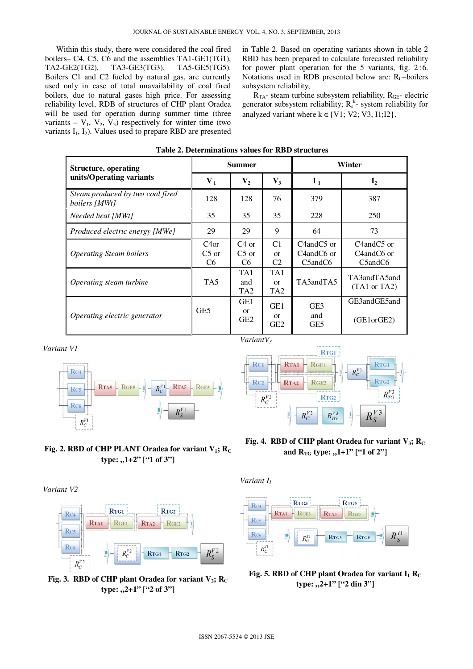Within this study, there were considered the coal fired boilers– C4, C5, C6 and the assemblies TA1-GE1(TG1), TA2-GE2(TG2), TA3-GE3(TG3), TA5-GE5(TG5). Boilers C1 and C2 fueled by natural gas, are currently used only in case of total unavailability of coal fired boilers, due to natural gases high price. For assessing reliability level, RDB of structures of CHP plant Oradea will be used for operation during summer time (three variants –  $V_1$ ,  $V_2$ ,  $V_3$ ) respectively for winter time (two variants  $I_1$ ,  $I_2$ ). Values used to prepare RBD are presented

in Table 2. Based on operating variants shown in table 2 RBD has been prepared to calculate forecasted reliability for power plant operation for the 5 variants, fig.  $2\div 6$ . Notations used in RDB presented below are:  $R_C$ –boilers subsystem reliability,

 $R_{TA}$ - steam turbine subsystem reliability,  $R_{GE}$ - electric generator subsystem reliability;  $R_s^k$ - system reliability for analyzed variant where  $k \in \{V1; V2; V3, I1; I2\}$ .

| <b>Structure, operating</b>                       | <b>Summer</b>                     |                                                     |                                                | Winter                                                                                |                                                                                                                |
|---------------------------------------------------|-----------------------------------|-----------------------------------------------------|------------------------------------------------|---------------------------------------------------------------------------------------|----------------------------------------------------------------------------------------------------------------|
| units/Operating variants                          | V <sub>1</sub>                    | $\mathbf{V}_2$                                      | $V_3$                                          | $I_1$                                                                                 | $\mathbf{I}_2$                                                                                                 |
| Steam produced by two coal fired<br>boilers [MWt] | 128                               | 128                                                 | 76                                             | 379                                                                                   | 387                                                                                                            |
| Needed heat [MWt]                                 | 35                                | 35                                                  | 35                                             | 228                                                                                   | 250                                                                                                            |
| Produced electric energy [MWe]                    | 29                                | 29                                                  | 9                                              | 64                                                                                    | 73                                                                                                             |
| <i><b>Operating Steam boilers</b></i>             | C4or<br>$C5$ or<br>C <sub>6</sub> | $C4$ or<br>$C_5$ or<br>C <sub>6</sub>               | C <sub>1</sub><br>$\alpha$<br>C <sub>2</sub>   | C <sub>4</sub> and <sub>C5</sub> or<br>C4andC6 or<br>C <sub>5</sub> and <sub>C6</sub> | C <sub>4</sub> and <sub>C5</sub> or<br>C <sub>4</sub> and <sub>C6</sub> or<br>C <sub>5</sub> and <sub>C6</sub> |
| Operating steam turbine                           | TA5                               | TA1<br>and<br>TA <sub>2</sub>                       | TA1<br>$\alpha$<br>TA <sub>2</sub>             | TA3andTA5                                                                             | TA3andTA5and<br>$(TA1 \text{ or } TA2)$                                                                        |
| Operating electric generator                      | GE5                               | GE <sub>1</sub><br><sub>or</sub><br>GE <sub>2</sub> | GE <sub>1</sub><br>$\alpha$<br>GE <sub>2</sub> | GE <sub>3</sub><br>and<br>GE5                                                         | GE3andGE5and<br>(GE1orGE2)                                                                                     |

| Table 2. Determinations values for RBD structures |  |  |
|---------------------------------------------------|--|--|
|---------------------------------------------------|--|--|















**Fig. 3. RBD of CHP plant Oradea for variant**  $V_2$ **; R<sub>C</sub> type:** ,,2+1" ["2 of 3"]

**Fig. 4. RBD of CHP plant Oradea for variant**  $V_3$ **;**  $R_C$ and  $R_{TG}$  type:  $,1+1$ " ["1 of 2"]

*Variant I<sup>1</sup>*



**Fig. 5. RBD of CHP plant Oradea for variant**  $I_1$  $R_C$ type: "2+1" ["2 din 3"]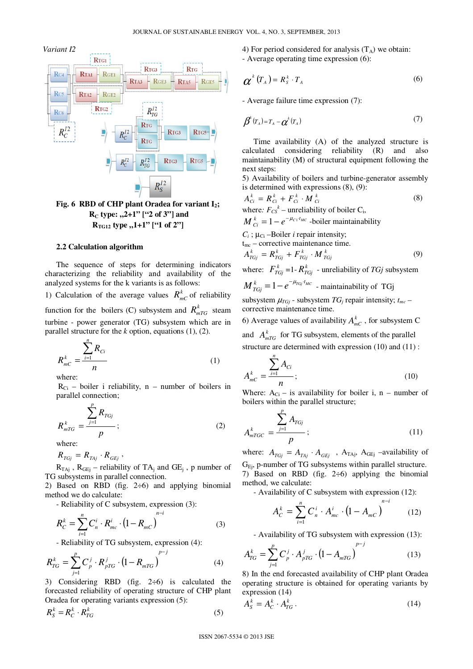

 **R**<sub>C</sub> **type:**  $\frac{1}{2}$  +1" ["2 of 3"] and  $R_{TG12}$  type  $, 1+1$ " ["1 of 2"]

#### **2.2 Calculation algorithm**

The sequence of steps for determining indicators characterizing the reliability and availability of the analyzed systems for the k variants is as follows:

1) Calculation of the average values  $R_{mC}^{k}$  of reliability function for the boilers (C) subsystem and  $R_{mTG}^{k}$  steam turbine - power generator (TG) subsystem which are in parallel structure for the *k* option, equations (1), (2).

$$
R_{mc}^k = \frac{\sum_{i=1}^n R_{Ci}}{n}
$$
 (1)

where:

 $R_{Ci}$  – boiler i reliability, n – number of boilers in parallel connection;

$$
R_{mTG}^{\ k} = \frac{\sum_{j=1}^{r} R_{TGj}}{p};
$$
 (2)

where:

 $R_{TGj} = R_{TAj} \cdot R_{GEj}$ 

*p*

 $R_{TAj}$ ,  $R_{GEj}$  – reliability of TA<sub>j</sub> and GE<sub>j</sub>, p number of TG subsystems in parallel connection.

2) Based on RBD (fig.  $2\div 6$ ) and applying binomial method we do calculate:

- Reliability of C subsystem, expression (3):

$$
R_C^k = \sum_{i=1}^n C_n^i \cdot R_{mc}^i \cdot (1 - R_{mc})^{n-i}
$$
 (3)

- Reliability of TG subsystem, expression (4):

$$
R_{TG}^k = \sum_{j=1}^p C_p^j \cdot R_{pTG}^j \cdot (1 - R_{mTG})^{p-j}
$$
 (4)

3) Considering RBD (fig.  $2\div 6$ ) is calculated the forecasted reliability of operating structure of CHP plant Oradea for operating variants expression (5):

$$
R_S^k = R_C^k \cdot R_{TG}^k \tag{5}
$$

4) For period considered for analysis  $(T_A)$  we obtain: - Average operating time expression (6):

$$
\boldsymbol{\alpha}^{k}(T_{A}) = R_{S}^{k} \cdot T_{A}
$$
 (6)

- Average failure time expression (7):

$$
\boldsymbol{\beta}^k(T_A) = T_A - \boldsymbol{\alpha}^k(T_A) \tag{7}
$$

Time availability (A) of the analyzed structure is calculated considering reliability (R) and also maintainability (M) of structural equipment following the next steps:

5) Availability of boilers and turbine-generator assembly is determined with expressions (8), (9):

$$
A_{Ci}^k = R_{Ci}^k + F_{Ci}^k \cdot M_{Ci}^k
$$
  
where:  $F_{Cs}^k$ – unreliability of boiler C<sub>i</sub>, (8)

 $M_{Ci}^k = 1 - e^{-\mu_{Ci} \cdot t_{MC}}$  -boiler maintainability

 $C_i$ ;  $\mu_{Ci}$  –Boiler *i* repair intensity;

$$
t_{\text{mc}}
$$
 – corrective maintenance time.

$$
A_{Tcj}^k = R_{Tcj}^k + F_{Tcj}^k \cdot M_{Tcj}^k \tag{9}
$$

where:  $F_{TG}^k$  =1- $R_{TG}^k$  - unreliability of *TGj* subsystem

$$
M_{TGj}^k = 1 - e^{-\mu_{TGj} \cdot t_{MC}}
$$
 - maintainability of TGj

subsystem  $\mu_{TG}$  - subsystem  $TG_j$  repair intensity;  $t_{mc}$  – corrective maintenance time.

6) Average values of availability  $A_{mC}^k$ , for subsystem C

and  $A_{mTG}^k$  for TG subsystem, elements of the parallel structure are determined with expression (10) and (11) :

$$
A_{m}^{k} = \frac{\sum_{i=1}^{n} A_{Ci}}{n};
$$
\n(10)

Where:  $A_{Ci}$  – is availability for boiler i, n – number of boilers within the parallel structure;

$$
A_{mTGC}^{k} = \frac{\sum_{j=1}^{p} A_{TGj}}{p};
$$
\n(11)

where:  $A_{TGj} = A_{TAj} \cdot A_{GEj}$ ,  $A_{TAj}$ ,  $A_{GEj}$  –availability of  $G<sub>Ei</sub>$ , p-number of TG subsystems within parallel structure. 7) Based on RBD (fig.  $2\div 6$ ) applying the binomial method, we calculate:

- Availability of C subsystem with expression (12):

$$
A_C^k = \sum_{i=1}^n C_n^i \cdot A_{mc}^i \cdot (1 - A_{mc})^{n-i}
$$
 (12)

- Availability of TG subsystem with expression (13):

$$
A_{TG}^k = \sum_{j=1}^p C_p^j \cdot A_{pTG}^j \cdot (1 - A_{mTG})^{p-j}
$$
 (13)

8) In the end forecasted availability of CHP plant Oradea operating structure is obtained for operating variants by expression (14)

$$
A_S^k = A_C^k \cdot A_{TG}^k \tag{14}
$$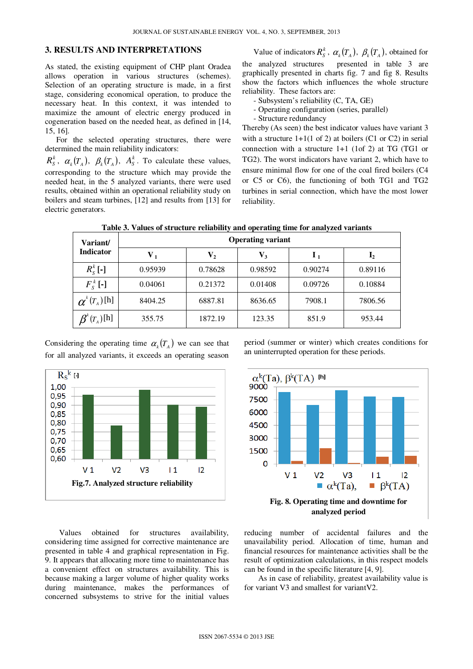# **3. RESULTS AND INTERPRETATIONS**

As stated, the existing equipment of CHP plant Oradea allows operation in various structures (schemes). Selection of an operating structure is made, in a first stage, considering economical operation, to produce the necessary heat. In this context, it was intended to maximize the amount of electric energy produced in cogeneration based on the needed heat, as defined in [14, 15, 16].

For the selected operating structures, there were determined the main reliability indicators:

 $R^k_s$ ,  $\alpha_k(T_A)$ ,  $\beta_k(T_A)$ ,  $A^k_s$ . To calculate these values, corresponding to the structure which may provide the needed heat, in the 5 analyzed variants, there were used results, obtained within an operational reliability study on boilers and steam turbines, [12] and results from [13] for electric generators.

Value of indicators  $R_S^k$ ,  $\alpha_k(T_A)$ ,  $\beta_k(T_A)$ , obtained for the analyzed structures presented in table 3 are graphically presented in charts fig. 7 and fig 8. Results show the factors which influences the whole structure reliability. These factors are:

- Subsystem's reliability (C, TA, GE)
- Operating configuration (series, parallel)
- Structure redundancy

Thereby (As seen) the best indicator values have variant 3 with a structure  $1+1(1 \text{ of } 2)$  at boilers (C1 or C2) in serial connection with a structure 1+1 (1of 2) at TG (TG1 or TG2). The worst indicators have variant 2, which have to ensure minimal flow for one of the coal fired boilers (C4 or C5 or C6), the functioning of both TG1 and TG2 turbines in serial connection, which have the most lower reliability.

**Table 3. Values of structure reliability and operating time for analyzed variants** 

| Variant/<br><b>Indicator</b>                                               | <b>Operating variant</b>  |                           |         |                  |                |  |
|----------------------------------------------------------------------------|---------------------------|---------------------------|---------|------------------|----------------|--|
|                                                                            | $\mathbf{V}_{\mathbf{1}}$ | $\mathbf{V}_{\mathbf{2}}$ | $V_3$   | $\mathbf{I}_{1}$ | $\mathbf{I}_2$ |  |
| $R_s^k$ [-]                                                                | 0.95939                   | 0.78628                   | 0.98592 | 0.90274          | 0.89116        |  |
| $F_s^k$ [-]                                                                | 0.04061                   | 0.21372                   | 0.01408 | 0.09726          | 0.10884        |  |
| $\boldsymbol{\alpha}^{\kappa}(\boldsymbol{T}_{\scriptscriptstyle{A}})$ [h] | 8404.25                   | 6887.81                   | 8636.65 | 7908.1           | 7806.56        |  |
| $(T_A)[h]$                                                                 | 355.75                    | 1872.19                   | 123.35  | 851.9            | 953.44         |  |

Considering the operating time  $\alpha_k(T_A)$  we can see that for all analyzed variants, it exceeds an operating season



period (summer or winter) which creates conditions for an uninterrupted operation for these periods.



Values obtained for structures availability, considering time assigned for corrective maintenance are presented in table 4 and graphical representation in Fig. 9. It appears that allocating more time to maintenance has a convenient effect on structures availability. This is because making a larger volume of higher quality works during maintenance, makes the performances of concerned subsystems to strive for the initial values

reducing number of accidental failures and the unavailability period. Allocation of time, human and financial resources for maintenance activities shall be the result of optimization calculations, in this respect models can be found in the specific literature [4, 9].

As in case of reliability, greatest availability value is for variant V3 and smallest for variantV2.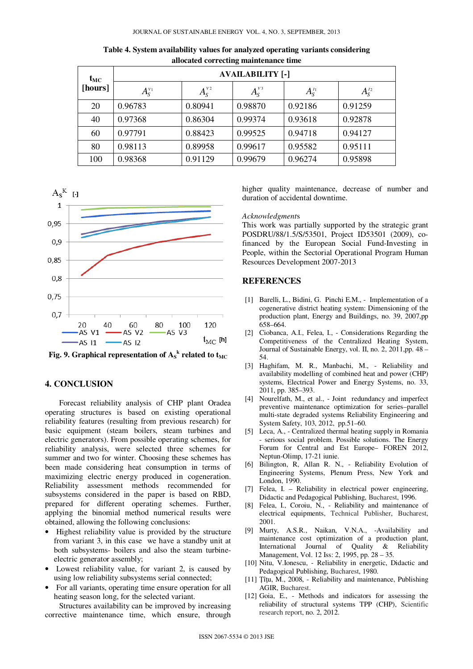| $t_{MC}$<br>[hours] | <b>AVAILABILITY [-]</b> |                 |                 |                        |              |  |
|---------------------|-------------------------|-----------------|-----------------|------------------------|--------------|--|
|                     | $A_{\rm S}^{\nu_1}$     | $A_{S}^{\nu_2}$ | $A_{S}^{\nu 3}$ | $A_{\rm S}^{\prime_1}$ | $A_{S}^{I2}$ |  |
| 20                  | 0.96783                 | 0.80941         | 0.98870         | 0.92186                | 0.91259      |  |
| 40                  | 0.97368                 | 0.86304         | 0.99374         | 0.93618                | 0.92878      |  |
| 60                  | 0.97791                 | 0.88423         | 0.99525         | 0.94718                | 0.94127      |  |
| 80                  | 0.98113                 | 0.89958         | 0.99617         | 0.95582                | 0.95111      |  |
| 100                 | 0.98368                 | 0.91129         | 0.99679         | 0.96274                | 0.95898      |  |

**Table 4. System availability values for analyzed operating variants considering allocated correcting maintenance time** 



Fig. 9. Graphical representation of  $\mathbf{A_S}^k$  related to  $\mathbf{t}_{\text{MC}}$ 

## **4. CONCLUSION**

Forecast reliability analysis of CHP plant Oradea operating structures is based on existing operational reliability features (resulting from previous research) for basic equipment (steam boilers, steam turbines and electric generators). From possible operating schemes, for reliability analysis, were selected three schemes for summer and two for winter. Choosing these schemes has been made considering heat consumption in terms of maximizing electric energy produced in cogeneration. Reliability assessment methods recommended for subsystems considered in the paper is based on RBD, prepared for different operating schemes. Further, applying the binomial method numerical results were obtained, allowing the following conclusions:

- Highest reliability value is provided by the structure from variant 3, in this case we have a standby unit at both subsystems- boilers and also the steam turbineelectric generator assembly;
- Lowest reliability value, for variant 2, is caused by using low reliability subsystems serial connected;
- For all variants, operating time ensure operation for all heating season long, for the selected variant.

Structures availability can be improved by increasing corrective maintenance time, which ensure, through higher quality maintenance, decrease of number and duration of accidental downtime.

#### *Acknowledgment*s

This work was partially supported by the strategic grant POSDRU/88/1.5/S/53501, Project ID53501 (2009), cofinanced by the European Social Fund-Investing in People, within the Sectorial Operational Program Human Resources Development 2007-2013

#### **REFERENCES**

- [1] Barelli, L., Bidini, G. Pinchi E.M., Implementation of a cogenerative district heating system: Dimensioning of the production plant, Energy and Buildings, no. 39, 2007,pp 658–664.
- [2] Ciobanca, A.I., Felea, I., Considerations Regarding the Competitiveness of the Centralized Heating System, Journal of Sustainable Energy, vol. II, no. 2, 2011,pp. 48 – 54.
- [3] Haghifam, M. R., Manbachi, M., Reliability and availability modelling of combined heat and power (CHP) systems, Electrical Power and Energy Systems, no. 33, 2011, pp. 385–393.
- [4] Nourelfath, M., et al., Joint redundancy and imperfect preventive maintenance optimization for series–parallel multi-state degraded systems Reliability Engineering and System Safety, 103, 2012, pp.51–60.
- [5] Leca, A., Centralized thermal heating supply in Romania - serious social problem. Possible solutions. The Energy Forum for Central and Est Europe– FOREN 2012, Neptun-Olimp, 17-21 iunie.
- [6] Bilington, R, Allan R. N., Reliability Evolution of Engineering Systems, Plenum Press, New York and London, 1990.
- [7] Felea, I. Reliability in electrical power engineering, Didactic and Pedagogical Publishing, Bucharest, 1996.
- [8] Felea, I., Coroiu, N., Reliability and maintenance of electrical equipments, Technical Publisher, Bucharest, 2001.
- [9] Murty, A.S.R., Naikan, V.N.A., -Availability and maintenance cost optimization of a production plant, International Journal of Quality & Reliability Management, Vol. 12 Iss: 2, 1995, pp. 28 – 35.
- [10] Nitu, V.Ionescu, Reliability in energetic, Didactic and Pedagogical Publishing, Bucharest, 1980.
- [11] Tîtu, M., 2008, Reliability and maintenance, Publishing AGIR, Bucharest.
- [12] Goia, E., Methods and indicators for assessing the reliability of structural systems TPP (CHP), Scientific research report, no. 2, 2012.